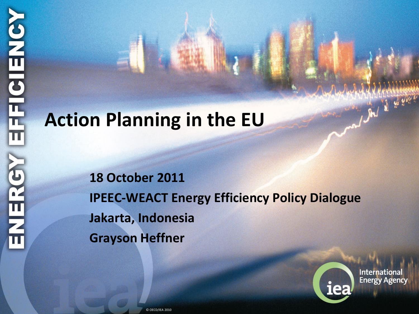#### **Action Planning in the EU**

**18 October 2011 IPEEC-WEACT Energy Efficiency Policy Dialogue Jakarta, Indonesia Grayson Heffner**



**International Energy Agency**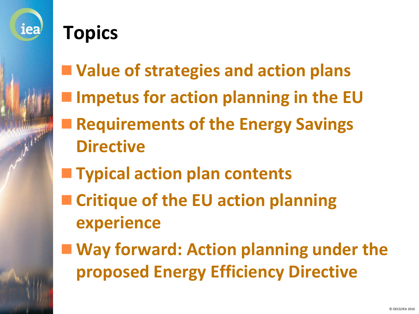

#### **Topics**

- **Value of strategies and action plans**
- **Impetus for action planning in the EU**
- **Requirements of the Energy Savings Directive**
- **Typical action plan contents**
- Critique of the EU action planning **experience**
- Way forward: Action planning under the **proposed Energy Efficiency Directive**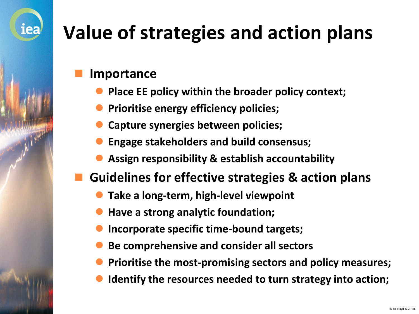## **Value of strategies and action plans**

#### **Importance**

- **Place EE policy within the broader policy context;**
- **Prioritise energy efficiency policies;**
- **Capture synergies between policies;**
- **Engage stakeholders and build consensus;**
- **Assign responsibility & establish accountability**
- **Guidelines for effective strategies & action plans**
	- **Take a long-term, high-level viewpoint**
	- **Have a strong analytic foundation;**
	- **Incorporate specific time-bound targets;**
	- **Be comprehensive and consider all sectors**
	- **Prioritise the most-promising sectors and policy measures;**
	- **Identify the resources needed to turn strategy into action;**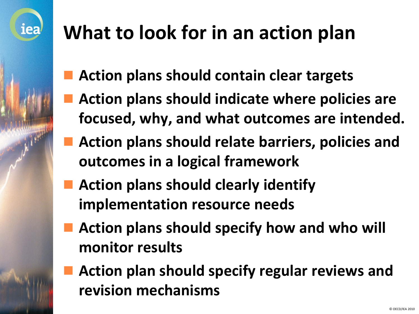

- **Action plans should contain clear targets**
- **Action plans should indicate where policies are focused, why, and what outcomes are intended.**
- **Action plans should relate barriers, policies and outcomes in a logical framework**
- **Action plans should clearly identify implementation resource needs**
- **Action plans should specify how and who will monitor results**
- **Action plan should specify regular reviews and revision mechanisms**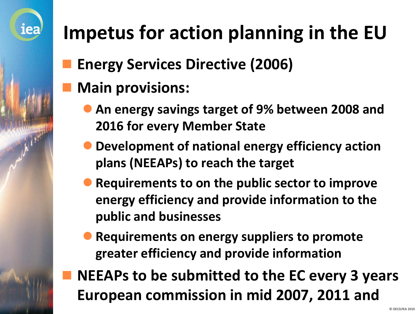# **Impetus for action planning in the EU**

- **Energy Services Directive (2006)**
- **Main provisions:**

- **An energy savings target of 9% between 2008 and 2016 for every Member State**
- **Development of national energy efficiency action plans (NEEAPs) to reach the target**
- **Requirements to on the public sector to improve energy efficiency and provide information to the public and businesses**
- **Requirements on energy suppliers to promote greater efficiency and provide information**
- **NEEAPs to be submitted to the EC every 3 years European commission in mid 2007, 2011 and**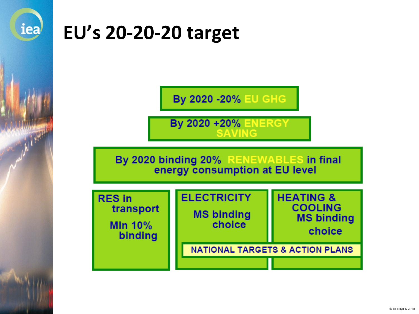

#### **EU's 20-20-20 target**

**By 2020 -20% EU GHG** 

**By 2020 +20% ENERGY** 

By 2020 binding 20% RENEWABLES in final<br>energy consumption at EU level

| <b>RES</b> in<br>transport<br><b>Min 10%</b><br>binding | <b>ELECTRICITY</b><br><b>MS binding</b><br>choice | <b>HEATING &amp;</b><br><b>COOLING</b><br><b>MS binding</b><br>choice |
|---------------------------------------------------------|---------------------------------------------------|-----------------------------------------------------------------------|
|                                                         | <b>NATIONAL TARGETS &amp; ACTION PLANS</b>        |                                                                       |
|                                                         |                                                   |                                                                       |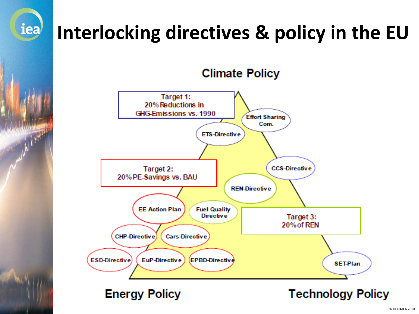# **Interlocking directives & policy in the EU**





**Energy Policy** 

iea

**AND LEADER** 

**Technology Policy**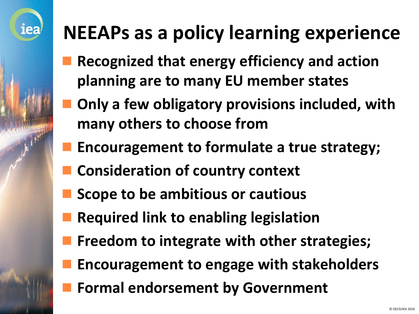### **NEEAPs as a policy learning experience**

- **Recognized that energy efficiency and action planning are to many EU member states**
- **Only a few obligatory provisions included, with many others to choose from**
- **Encouragement to formulate a true strategy;**
- **Consideration of country context**

- **Scope to be ambitious or cautious**
- **Required link to enabling legislation**
- **Freedom to integrate with other strategies;**
- **Encouragement to engage with stakeholders**
- **Formal endorsement by Government**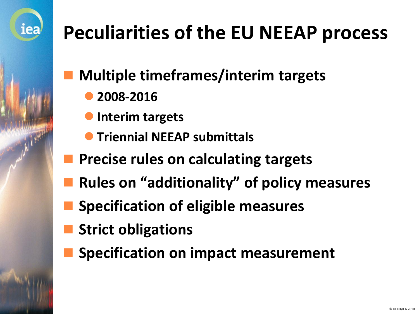

## **Peculiarities of the EU NEEAP process**

**Multiple timeframes/interim targets**

- **2008-2016**
- **Interim targets**
- **Triennial NEEAP submittals**
- **Precise rules on calculating targets**
- **Rules on "additionality" of policy measures**
- **Specification of eligible measures**
- **Strict obligations**
- **Specification on impact measurement**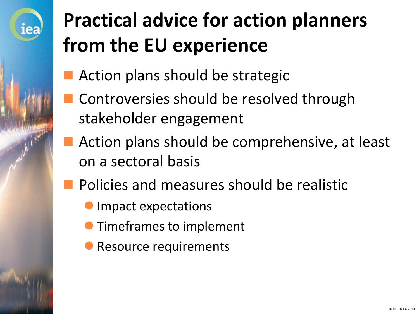

# **Practical advice for action planners from the EU experience**

- Action plans should be strategic
- Controversies should be resolved through stakeholder engagement
- Action plans should be comprehensive, at least on a sectoral basis
- Policies and measures should be realistic
	- Impact expectations
	- Timeframes to implement
	- Resource requirements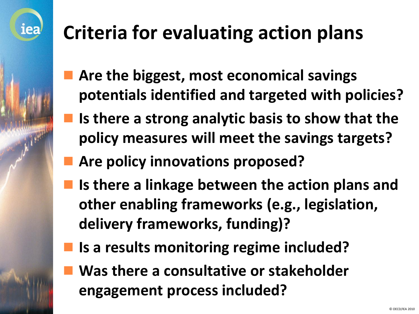## **Criteria for evaluating action plans**

- **Are the biggest, most economical savings potentials identified and targeted with policies?**
- **Is there a strong analytic basis to show that the policy measures will meet the savings targets?**
- **Are policy innovations proposed?**
- **Is there a linkage between the action plans and other enabling frameworks (e.g., legislation, delivery frameworks, funding)?**
- **Is a results monitoring regime included?**
- **Was there a consultative or stakeholder engagement process included?**